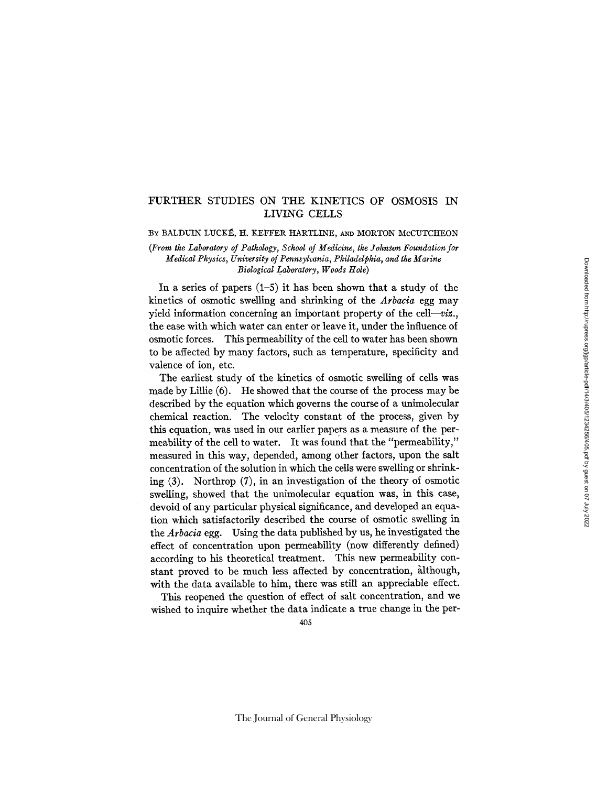# FURTHER STUDIES ON THE KINETICS OF OSMOSIS IN LIVING CELLS

### BY BALDUIN LUCKÉ, H. KEFFER HARTLINE, AND MORTON MCCUTCHEON

*(From the Laboratory of Pathology, School of Medicine, the Johnson Foundation for Medical Physics, University of Pennsylvania, Philadelphia, and ihe Marine Bidogical Laboratory, Woods Hole)* 

In a series of papers  $(1-5)$  it has been shown that a study of the kinetics of osmotic swelling and shrinking of the *Arbacla* egg may yield information concerning an important property of the cell--viz., the ease with which water can enter or leave it, under the influence of osmotic forces. This permeability of the cell to water has been shown to be affected by many factors, such as temperature, specificity and valence of ion, etc.

The earliest study of the kinetics of osmotic swelling of cells was made by Lillie (6). He showed that the course of the process may be described by the equation which governs the course of a unimolecular chemical reaction. The velocity constant of the process, given by this equation, was used in our earlier papers as a measure of the permeability of the cell to water. It was found that the *"permeability,"*  measured in this way, depended, among other factors, upon the salt concentration of the solution in which the cells were swelling or shrinking (3). Northrop (7), in an investigation of the theory of osmotic swelling, showed that the unimolecular equation was, in this case, devoid of any particular physical significance, and developed an equation which satisfactorily described the course of osmotic swelling in the *Arbacia* egg. Using the data published by us, he investigated the effect of concentration upon permeability (now differently defined) according to his theoretical treatment. This new permeability constant proved to be much less affected by concentration, although, with the data available to him, there was still an appreciable effect.

This reopened the question of effect of salt concentration, and we wished to inquire whether the data indicate a true change in the per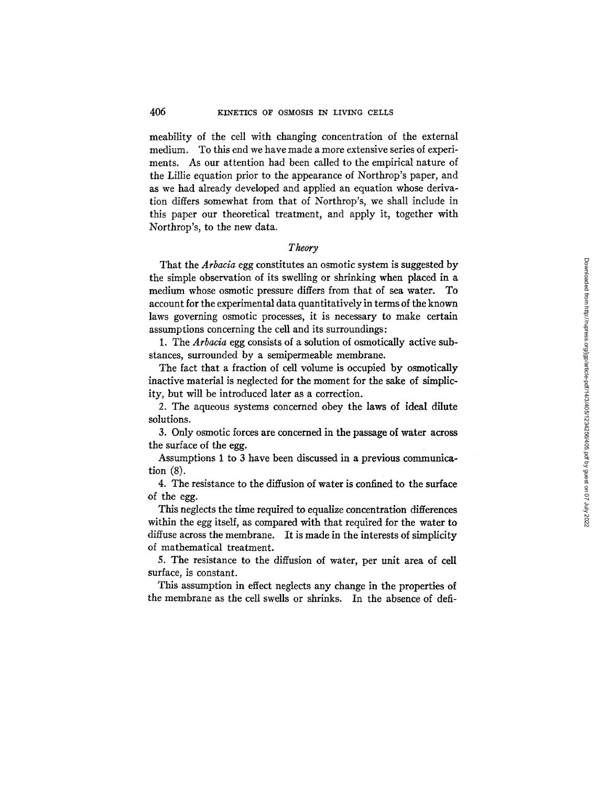meability of the cell with changing concentration of the external medium. To this end we have made a more extensive series of experiments. As our attention had been called to the empirical nature of the Lillie equation prior to the appearance of Northrop's paper, and as we had already developed and applied an equation whose derivation differs somewhat from that of Northrop's, we shall include in this paper our theoretical treatment, and apply it, together with Northrop's, to the new data.

### *Theory*

That the *Arbacia* egg constitutes an osmotic system is suggested by the simple observation of its swelling or shrinking when placed in a medium whose osmotic pressure differs from that of sea water. To account for the experimental data quantitatively in terms of the known laws governing osmotic processes, it is necessary to make certain assumptions concerning the cell and its surroundings:

1. The *Arbacia* egg consists of a solution of osmotically active substances, surrounded by a semipermeable membrane.

The fact that a fraction of cell volume is occupied by osmotically inactive material is neglected for the moment for the sake of simplicity, but will be introduced later as a correction.

2. The aqueous systems concerned obey the laws of ideal dilute solutions.

3. Only osmotic forces are concerned in the passage of water across the surface of the egg.

Assumptions 1 to 3 have been discussed in a previous communication (8).

4. The resistance to the diffusion of water is confined to the surface of the egg.

This neglects the time required to equalize concentration differences within the egg itself, as compared with that required for the water to diffuse across the membrane. It is made in the interests of simplicity of mathematical treatment.

5. The resistance to the diffusion of water, per unit area of cell surface, is constant.

This assumption in effect neglects any change in the properties of the membrane as the cell swells or shrinks. In the absence of deft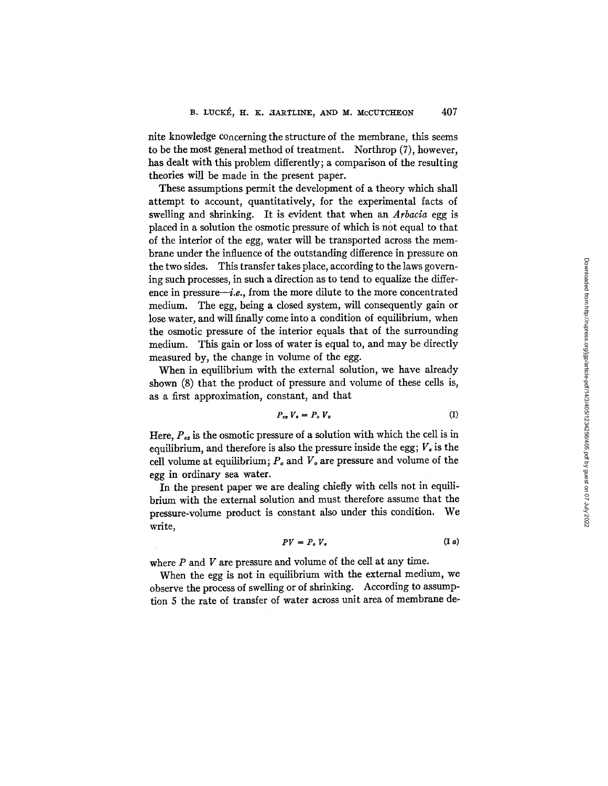nite knowledge concerning the structure of the membrane, this seems to be the most general method of treatment. Northrop (7), however, has dealt with this problem differently; a comparison of the resulting theories will be made in the present paper.

These assumptions permit the development of a theory which shall attempt to account, quantitatively, for the experimental facts of swelling and shrinking. It is evident that when an *Arbacia* egg is placed in a solution the osmotic pressure of which is not equal to that of the interior of the egg, water will be transported across the membrane under the influence of the outstanding difference in pressure on the two sides. This transfer takes place, according to the laws governing such processes, in such a direction as to tend to equalize the difference in pressure $-i.e.,$  from the more dilute to the more concentrated medium. The egg, being a closed system, will consequently gain or lose water, and will finally come into a condition of equilibrium, when the osmotic pressure of the interior equals that of the surrounding medium. This gain or loss of water is equal to, and may be directly measured by, the change in volume of the egg.

When in equilibrium with the external solution, we have already shown (8) that the product of pressure and volume of these cells is, as a first approximation, constant, and that

$$
P_{ex} V_e = P_o V_o \tag{I}
$$

Here,  $P_{ex}$  is the osmotic pressure of a solution with which the cell is in equilibrium, and therefore is also the pressure inside the egg;  $V_e$  is the cell volume at equilibrium;  $P_{o}$  and  $V_{o}$  are pressure and volume of the egg in ordinary sea water.

In the present paper we are dealing chiefly with cells not in equilibrium with the external solution and must therefore assume that the pressure-volume product is constant also under this condition. We write,

$$
PV = P_o V_o \tag{I } a)
$$

where  $P$  and  $V$  are pressure and volume of the cell at any time.

When the egg is not in equilibrium with the external medium, we observe the process of swelling or of shrinking. According to assumption 5 the rate of transfer of water across unit area of membrane de'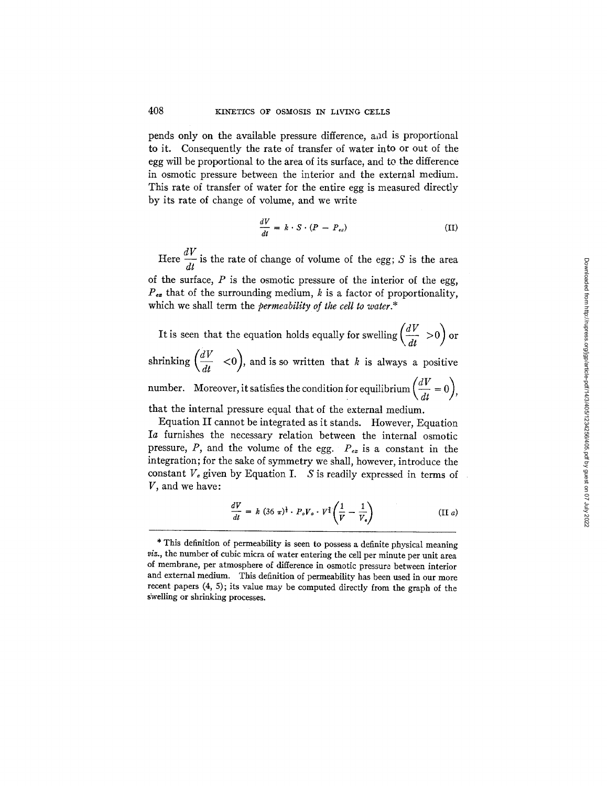pends only on the available pressure difference, and is proportional to it. Consequently the rate of transfer of water into or out of the egg will be proportional to the area of its surface, and to the difference in osmotic pressure between the interior and the external medium. This rate of transfer of water for the entire egg is measured directly by its rate of change of volume, and we write

$$
\frac{dV}{dt} = k \cdot S \cdot (P - P_{ex}) \tag{II}
$$

Here  $\frac{dV}{dt}$  is the rate of change of volume of the egg; S is the area of the surface,  $P$  is the osmotic pressure of the interior of the egg,  $P_{ex}$  that of the surrounding medium, k is a factor of proportionality,

It is seen that the equation holds equally for swelling  $\left(\frac{dV}{dt} > 0\right)$  or shrinking  $\begin{pmatrix} dV & 0 \\ dt & 0 \end{pmatrix}$ , and is so written that k is always a positive number. Moreover, it satisfies the condition for equilibrium  $\left(\frac{dV}{dt} = 0\right)$ , that the internal pressure equal that of the external medium.

which we shall term the *permeability of the cell to water.\** 

Equation II cannot be integrated as it stands. However, Equation Ia furnishes the necessary relation between the internal osmotic pressure, P, and the volume of the egg.  $P_{ex}$  is a constant in the integration; for the sake of symmetry we shall, however, introduce the constant  $V_e$  given by Equation I. S is readily expressed in terms of V, and we have:

$$
\frac{dV}{dt} = k (36 \pi)^{\frac{1}{3}} \cdot P_o V_o \cdot V^{\frac{3}{4}} \left( \frac{1}{V} - \frac{1}{V_e} \right)
$$
 (II *a*)

<sup>\*</sup> This definition of permeability is seen to possess a definite physical meaning *viz.,* the number of cubic micra of water entering the cell per minute per unit area of membrane, per atmosphere of difference in osmotic pressure between interior and external medium. This definition of permeability has been used in our more recent papers (4, 5); its value may be computed directly from the graph of the swelling or shrinking processes.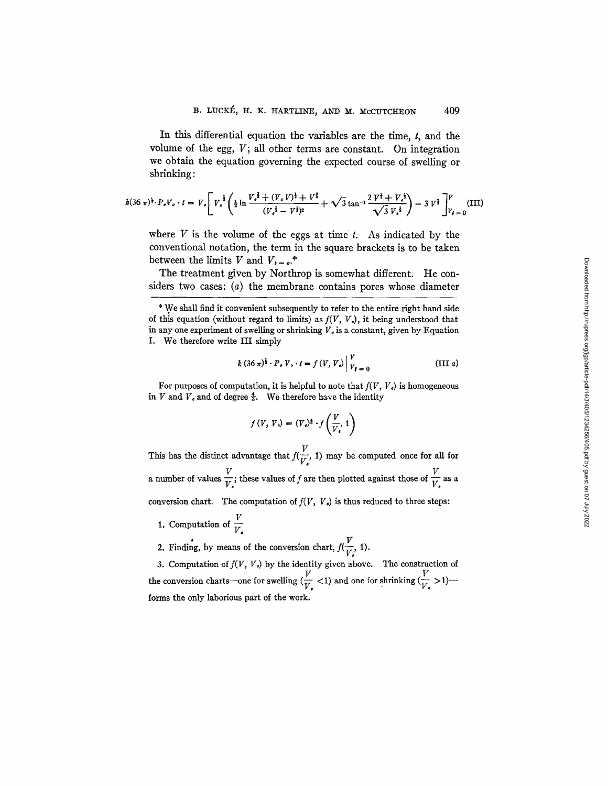In this differential equation the variables are the time,  $t$ , and the volume of the egg, V; all other terms are constant. On integration we obtain the equation governing the expected course of swelling or shrinking:

$$
k(36 \pi)^{\frac{1}{3}} \cdot P_o V_o \cdot t = V_e \left[ V_e^{\frac{1}{3}} \left( \frac{1}{2} \ln \frac{V_e^{\frac{3}{4}} + (V_e V)^{\frac{1}{2}} + V^{\frac{3}{2}}}{(V_e^{\frac{1}{3}} - V^{\frac{1}{2}})^2} + \sqrt{3} \tan^{-1} \frac{2 V^{\frac{1}{3}} + V_e^{\frac{1}{3}}}{\sqrt{3} V_e^{\frac{1}{3}}} \right) - 3 V^{\frac{1}{3}} \right]_{V_{\ell=0}}^{V} (III)
$$

where  $V$  is the volume of the eggs at time  $t$ . As indicated by the conventional notation, the term in the square brackets is to be taken between the limits V and  $V_{t}$ .

The treatment given by Northrop is somewhat different. He considers two cases: (a) the membrane contains pores whose diameter

$$
k(36\pi)^{\frac{1}{2}} \cdot P_o V_o \cdot t = f(V, V_o) \Big|_{V_t=0}^{V}
$$
 (III a)

For purposes of computation, it is helpful to note that  $f(V, V<sub>e</sub>)$  is homogeneous in V and  $V_e$  and of degree  $\frac{4}{3}$ . We therefore have the identity

$$
f(V, V_{e}) = (V_{e})^{\frac{1}{3}} \cdot f\left(\frac{V}{V_{e}}, 1\right)
$$

This has the distinct advantage that  $f(\frac{V}{V}, 1)$  may be computed once for all for a number of values  $\frac{V}{V}$ ; these values of f are then plotted against those of  $\frac{V}{V}$  as a conversion chart. The computation of  $f(V, V_e)$  is thus reduced to three steps:

1. Computation of  $\frac{V}{V}$ 

2. Finding, by means of the conversion chart,  $f(\frac{V}{V}, 1)$ .

3. Computation of  $f(V, V<sub>e</sub>)$  by the identity given above. The construction of the conversion charts—one for swelling  $\left(\frac{V}{V} \right)$  and one for shrinking  $\left(\frac{V}{V}\right)$  >1) forms the only laborious part of the work.

<sup>\*</sup> We shall find it convenient subsequently to refer to the entire fight hand side of this equation (without regard to limits) as  $f(V, V_e)$ , it being understood that in any one experiment of swelling or shrinking  $V_e$  is a constant, given by Equation I. We therefore write III simply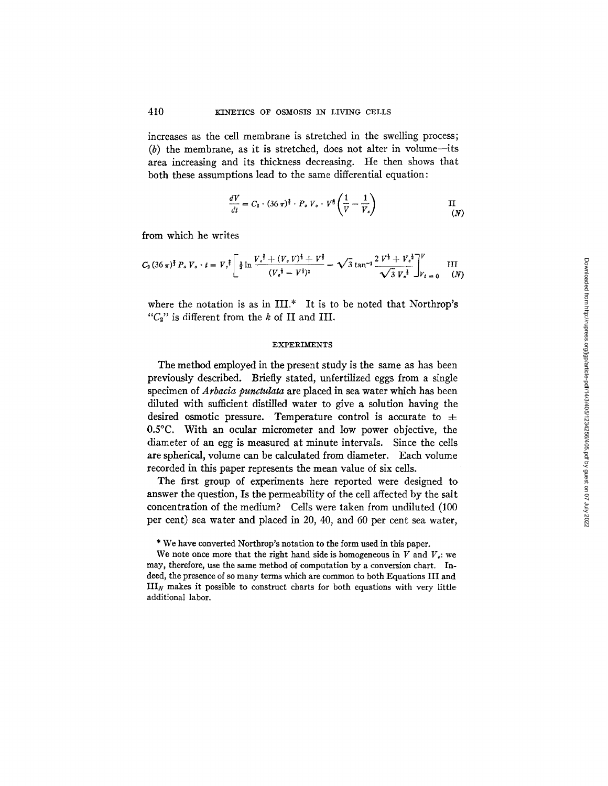increases as the cell membrane is stretched in the swelling process;  $(b)$  the membrane, as it is stretched, does not alter in volume--its area increasing and its thickness decreasing. He then shows that both these assumptions lead to the same differential equation:

$$
\frac{dV}{dt} = C_2 \cdot (36 \pi)^{\frac{2}{3}} \cdot P_o V_o \cdot V^{\frac{2}{3}} \left( \frac{1}{V} - \frac{1}{V_e} \right)
$$

from which he writes

$$
C_2 (36 \pi)^{\frac{2}{3}} P_o V_o \cdot t = V_e^{\frac{2}{3}} \left[ \frac{1}{2} \ln \frac{V_e^{\frac{2}{3}} + (V_e V)^{\frac{1}{3}} + V^{\frac{2}{3}}}{(V_e^{\frac{1}{3}} - V^{\frac{1}{3}})^2} - \sqrt{3} \tan^{-1} \frac{2 V^{\frac{1}{3}} + V_e^{\frac{1}{3}}}{\sqrt{3} V_e^{\frac{1}{3}}} \right] V_f = 0 \quad (N)
$$

where the notation is as in III.\* It is to be noted that Northrop's  $C_2$ " is different from the k of II and III.

#### EXPERIMENTS

The method employed in the present study is the same as has been previously described. Briefly stated, unfertilized eggs from a single specimen of *Arbacia punctulata* are placed in sea water which has been diluted with sufficient distilled water to give a solution having the desired osmotic pressure. Temperature control is accurate to  $\pm$ 0.5°C. With an ocular micrometer and low power objective, the diameter of an egg is measured at minute intervals. Since the cells are spherical, volume can be calculated from diameter. Each volume recorded in this paper represents the mean value of six cells.

The first group of experiments here reported were designed to answer the question, Is the permeability of the cell affected by the salt concentration of the medium? Cells were taken from undiluted (100 per cent) sea water and placed in 20, 40, and 60 per cent sea water,

\* We have converted Northrop's notation to the form used in this paper.

We note once more that the right hand side is homogeneous in  $V$  and  $V_{\epsilon}$ : we may, therefore, use the same method of computation by a conversion chart. Indeed, the presence of so many terms which are common to both Equations III and  $III<sub>N</sub>$  makes it possible to construct charts for both equations with very little additional labor.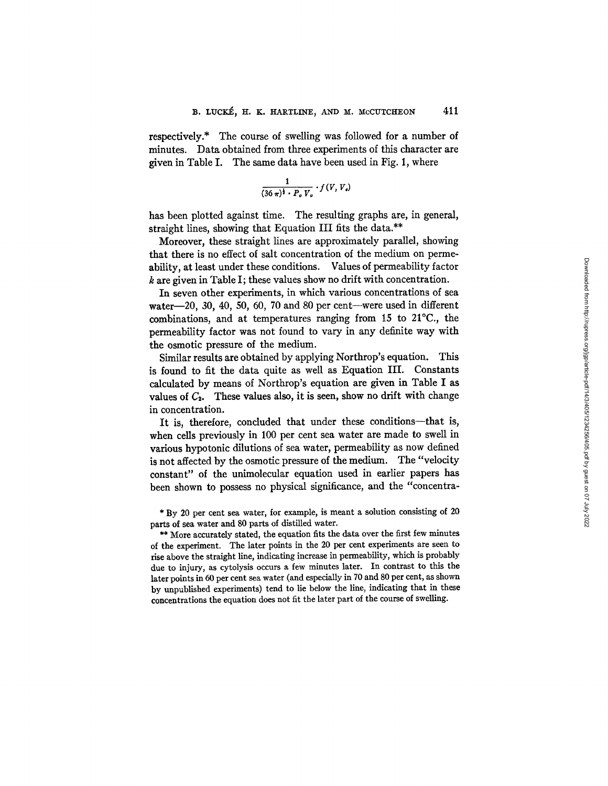respectively.\* The course of swelling was followed for a number of minutes. Data obtained from three experiments of this character are given in Table I. The same data have been used in Fig. 1, where

$$
\frac{1}{(36\,\pi)^{\frac{1}{3}}\cdot P_o\,V_o}\cdot f(V,V_e)
$$

has been plotted against time. The resulting graphs are, in general, straight lines, showing that Equation III fits the data.\*\*

Moreover, these straight lines are approximately parallel, showing that there is no effect of salt concentration of the medium on permeability, at least under these conditions. Values of permeability factor  $k$  are given in Table I; these values show no drift with concentration.

In seven other experiments, in which various concentrations of sea water-20, 30, 40, 50, 60, 70 and 80 per cent--were used in different combinations, and at temperatures ranging from 15 to 21°C., the permeability factor was not found to vary in any definite way with the osmotic pressure of the medium.

Similar results are obtained by applying Northrop's equation. This is found to fit the data quite as well as Equation III. Constants calculated by means of Northrop's equation are given in Table I as values of  $C_2$ . These values also, it is seen, show no drift with change in concentration.

It is, therefore, concluded that under these conditions--that is, when cells previously in 100 per cent sea water are made to swell in various hypotonic dilutions of sea water, permeability as now defined is not affected by the osmotic pressure of the medium. The *"velocity*  constant" of the unimolecular equation used in earlier papers has been shown to possess no physical significance, and the "concentra-

<sup>\*</sup> By 20 per cent sea water, for example, is meant a solution consisting of 20 parts of sea water and 80 parts of distilled water.

<sup>\*\*</sup> More accurately stated, the equation fits the data over the first few minutes of the experiment. The later points in the 20 per cent experiments are seen to rise above the straight line, indicating increase in permeability, which is probably due to injury, as cytolysis occurs a few minutes later. In contrast to this the later points in 60 per cent sea water (and especially in 70 and 80 per cent, as shown by unpublished experiments) tend to lie below the line, indicating that in these concentrations the equation does not fit the later part of the course of swelling.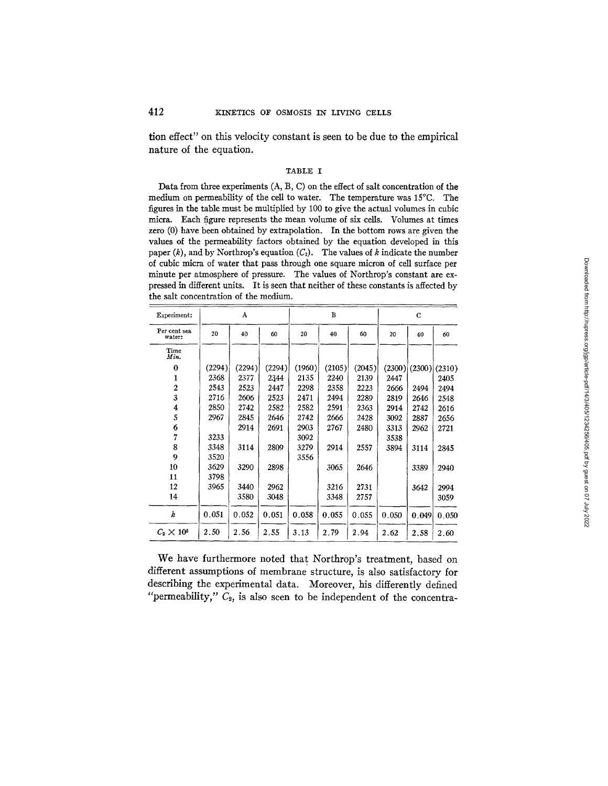tion effect" on this velocity constant is seen to be due to the empirical nature of the equation.

### TABLE I

Data from three experiments (A, B, C) on the effect of salt concentration of the medium on permeability of the cell to water. The temperature was 15°C. The figures in the table must be multiplied by 100 to give the actual volumes in cubic micra. Each figure represents the mean volume of six ceils. Volumes at times zero (0) have been obtained by extrapolation. In the bottom rows are given the values of the permeability factors obtained by the equation developed in this paper (k), and by Northrop's equation  $(C_2)$ . The values of k indicate the number of cubic micra of water that pass through one square micron of cell surface per minute per atmosphere of pressure. The values of Northrop's constant are expressed in different units. It is seen that neither of these constants is affected by the salt concentration of the medium.

| Experiment:            | A      |        |        | B      |        |        | C      |        |        |
|------------------------|--------|--------|--------|--------|--------|--------|--------|--------|--------|
| Per cent sea<br>water: | 20     | 40     | 60     | 20     | 40     | 60     | 20     | 40     | 60     |
| Time<br>Min.           |        |        |        |        |        |        |        |        |        |
| 0                      | (2294) | (2294) | (2294) | (1960) | (2105) | (2045) | (2300) | (2300) | (2310) |
| 1                      | 2368   | 2377   | 2344   | 2135   | 2240   | 2139   | 2447   |        | 2405   |
| 2                      | 2543   | 2523   | 2447   | 2298   | 2358   | 2223   | 2666   | 2494   | 2494   |
| 3                      | 2716   | 2606   | 2523   | 2471   | 2494   | 2289   | 2819   | 2646   | 2548   |
| $\boldsymbol{4}$       | 2850   | 2742   | 2582   | 2582   | 2591   | 2363   | 2914   | 2742   | 2616   |
| 5                      | 2967   | 2845   | 2646   | 2742   | 2666   | 2428   | 3092   | 2887   | 2656   |
| 6                      |        | 2914   | 2691   | 2903   | 2767   | 2480   | 3313   | 2962   | 2721   |
| 7                      | 3233   |        |        | 3092   |        |        | 3538   |        |        |
| 8                      | 3348   | 3114   | 2809   | 3279   | 2914   | 2557   | 3894   | 3114   | 2845   |
| 9                      | 3520   |        |        | 3556   |        |        |        |        |        |
| 10                     | 3629   | 3290   | 2898   |        | 3065   | 2646   |        | 3389   | 2940   |
| 11                     | 3798   |        |        |        |        |        |        |        |        |
| 12                     | 3965   | 3440   | 2962   |        | 3216   | 2731   |        | 3642   | 2994   |
| 14                     |        | 3580   | 3048   |        | 3348   | 2757   |        |        | 3059   |
| k                      | 0.051  | 0.052  | 0.051  | 0.058  | 0.055  | 0.055  | 0.050  | 0.049  | 0.050  |
| $C_2 \times 10^6$      | 2.50   | 2.56   | 2.55   | 3.13   | 2.79   | 2.94   | 2.62   | 2.58   | 2.60   |

We have furthermore noted that Northrop's treatment, based on different assumptions of membrane structure, is also satisfactory for describing the experimental data. Moreover, his differently defined "permeability,"  $C_2$ , is also seen to be independent of the concentra-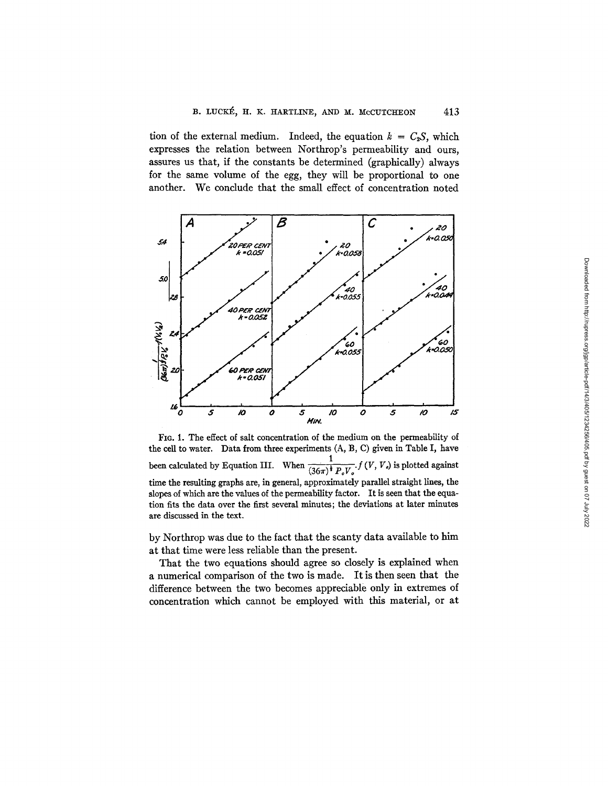tion of the external medium. Indeed, the equation  $k = C_2S$ , which expresses the relation between Northrop's permeability and ours, assures us that, if the constants be determined (graphically) always for the same volume of the egg, they will be proportional to one another. We conclude that the small effect of concentration noted



FIc. 1. The effect of salt concentration of the medium on the permeability of the cell to water. Data from three experiments (A, B, C) given in Table I, have been calculated by Equation III. When  $\frac{1}{(36\pi)^{\frac{1}{2}} P V} f(V, V_o)$  is plotted against time the resulting graphs are, in general, approximately parallel straight lines, the slopes of which are the values of the permeability factor. It is seen that the equation fits the data over the first several minutes; the deviations at later minutes are discussed in the text.

by Northrop was due to the fact that the scanty data available to him at that time were less reliable than the present.

That the two equations should agree so closely is explained when a numerical comparison of the two is made. It is then seen that the difference between the two becomes appreciable only in extremes of concentration which cannot be employed with this material, or at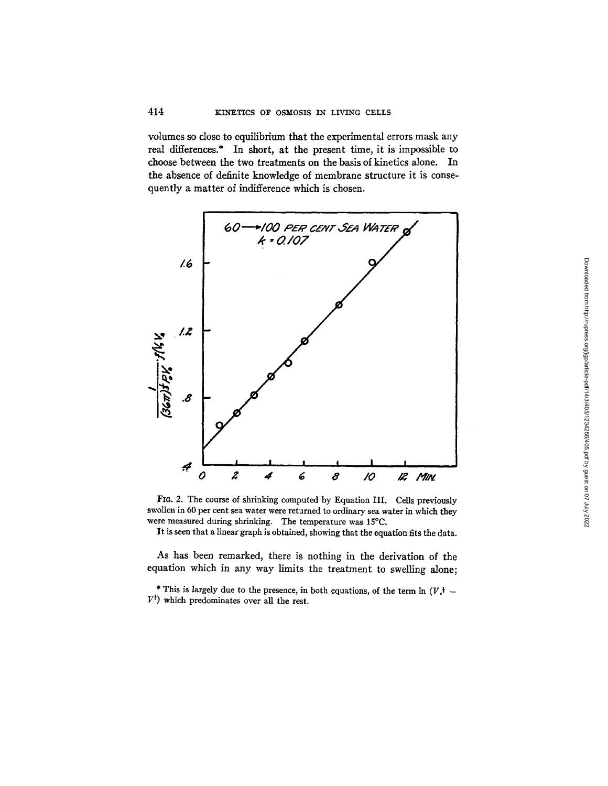volumes so close to equilibrium that the experimental errors mask any real differences.\* In short, at the present time, it is impossible to choose between the two treatments on the basis of kinetics alone. In the absence of definite knowledge of membrane structure it is consequently a matter of indifference which is chosen.



FIG. 2. The course of shrinking computed by Equation III. Cells previously swollen in 60 per cent sea water were returned to ordinary sea water in which they were measured during shrinking. The temperature was 15°C.

It is seen that a linear graph is obtained, showing that the equation fits the data.

As has been remarked, there is nothing in the derivation of the equation which in any way limits the treatment to swelling alone;

\* This is largely due to the presence, in both equations, of the term  $\ln (V_e^{\frac{1}{2}} V^{\frac{1}{3}}$ ) which predominates over all the rest.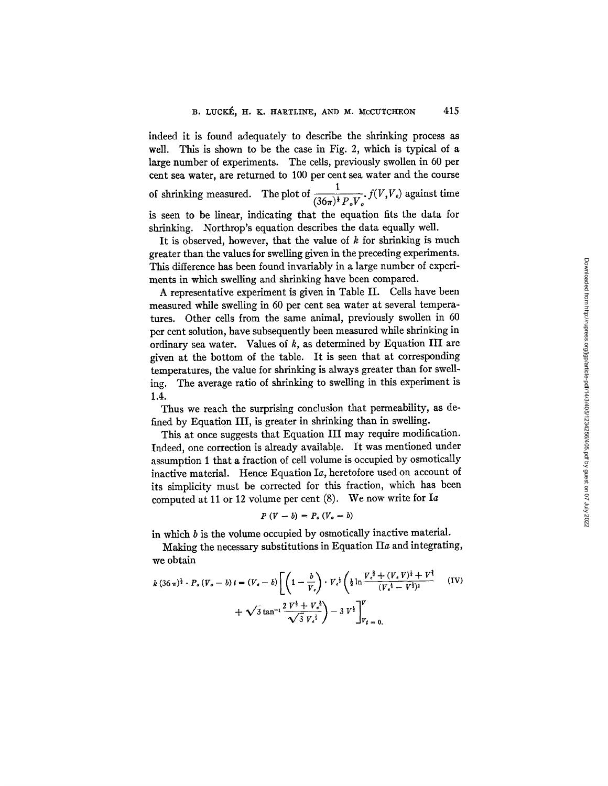indeed it is found adequately to describe the shrinking process as well. This is shown to be the case in Fig. 2, which is typical of a large number of experiments. The cells, previously swollen in 60 per cent sea water, are returned to 100 per cent sea water and the course of shrinking measured. The plot of  $\frac{1}{(36-1)! p V} f(V,V_e)$  against time is seen to be linear, indicating that the equation fits the data for shrinking. Northrop's equation describes the data equally well.

It is observed, however, that the value of  $k$  for shrinking is much greater than the values for swelling given in the preceding experiments. This difference has been found invariably in a large number of experiments in which swelling and shrinking have been compared.

A representative experiment is given in Table II. Cells have been measured while swelling in 60 per cent sea water at several temperatures. Other cells from the same animal, previously swollen in 60 per cent solution, have subsequently been measured while shrinking in ordinary sea water. Values of *k,* as determined by Equation III are given at the bottom of the table. It is seen that at corresponding temperatures, the value for shrinking is always greater than for swelling. The average ratio of shrinking to swelling in this experiment is 1.4.

Thus we reach the surprising conclusion that permeability, as defined by Equation III, is greater in shrinking than in swelling.

This at once suggests that Equation III may require modification. Indeed, one correction is already available. It was mentioned under assumption 1 that a fraction of cell volume is occupied by osmotically inactive material. Hence Equation *Ia,* heretofore used on account of its simplicity must be corrected for this fraction, which has been computed at 11 or 12 volume per cent  $(8)$ . We now write for Ia

$$
P(V-b) = P_o(V_o-b)
$$

in which  $b$  is the volume occupied by osmotically inactive material.

Making the necessary substitutions in Equation IIa and integrating, we obtain

$$
k (36 \pi)^{\frac{1}{3}} \cdot P_o (V_o - b) t = (V_e - b) \left[ \left( 1 - \frac{b}{V_e} \right) \cdot V_e^{\frac{1}{3}} \left( \frac{1}{2} \ln \frac{V_e^{\frac{3}{3}} + (V_e V)^{\frac{1}{3}} + V^{\frac{3}{3}}}{(V_e^{\frac{1}{3}} - V^{\frac{1}{3}})^2} \right) \right. \left. + \sqrt{3} \tan^{-1} \frac{2 V^{\frac{1}{3}} + V_e^{\frac{3}{3}}}{\sqrt{3} V_e^{\frac{1}{3}}} \right) - 3 V^{\frac{1}{3}} \Big]_{V_t = 0}^{V}
$$
 (IV)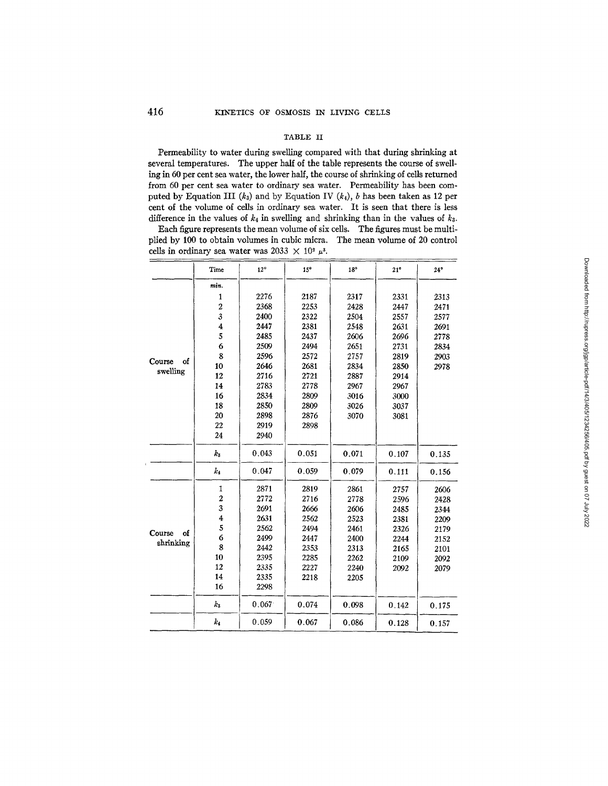### TABLE II

Permeability to water during swelling compared with that during shrinking at several temperatures. The upper half of the table represents the course of swelling in 60 per cent sea water, the lower half, the course of shrinking of cells returned from 60 per cent sea water to ordinary sea water. Permeability has been computed by Equation III ( $k_3$ ) and by Equation IV ( $k_4$ ), b has been taken as 12 per cent of the volume of cells in ordinary sea water. It is seen that there is less difference in the values of  $k_4$  in swelling and shrinking than in the values of  $k_3$ .

Each figure represents the mean volume of six cells. The figures must be multiplied by 100 to obtain volumes in cubic micra. The mean volume of 20 control cells in ordinary sea water was  $2033 \times 10^2 \mu^3$ .

|                           | Time                    | $12^{\circ}$ | 15°   | $18^{\circ}$ | 21°   | $24^{\circ}$ |
|---------------------------|-------------------------|--------------|-------|--------------|-------|--------------|
|                           | min.                    |              |       |              |       |              |
|                           | 1                       | 2276         | 2187  | 2317         | 2331  | 2313         |
|                           | $\overline{c}$          | 2368         | 2253  | 2428         | 2447  | 2471         |
|                           | $\overline{\mathbf{3}}$ | 2400         | 2322  | 2504         | 2557  | 2577         |
|                           | $\overline{\bf 4}$      | 2447         | 2381  | 2548         | 2631  | 2691         |
|                           | 5                       | 2485         | 2437  | 2606         | 2696  | 2778         |
|                           | 6                       | 2509         | 2494  | 2651         | 2731  | 2834         |
|                           | 8                       | 2596         | 2572  | 2757         | 2819  | 2903         |
| of<br>Course              | 10                      | 2646         | 2681  | 2834         | 2850  | 2978         |
| swelling                  | 12                      | 2716         | 2721  | 2887         | 2914  |              |
|                           | 14                      | 2783         | 2778  | 2967         | 2967  |              |
|                           | 16                      | 2834         | 2809  | 3016         | 3000  |              |
|                           | 18                      | 2850         | 2809  | 3026         | 3037  |              |
|                           | 20                      | 2898         | 2876  | 3070         | 3081  |              |
|                           | 22                      | 2919         | 2898  |              |       |              |
|                           | 24                      | 2940         |       |              |       |              |
|                           | $\boldsymbol{k_3}$      | 0.043        | 0.051 | 0.071        | 0.107 | 0.135        |
|                           | $k_{4}$                 | 0.047        | 0.059 | 0.079        | 0.111 | 0.156        |
| Course<br>of<br>shrinking | 1                       | 2871         | 2819  | 2861         | 2757  | 2606         |
|                           | $\boldsymbol{2}$        | 2772         | 2716  | 2778         | 2596  | 2428         |
|                           | 3                       | 2691         | 2666  | 2606         | 2485  | 2344         |
|                           | $\overline{4}$          | 2631         | 2562  | 2523         | 2381  | 2209         |
|                           | 5                       | 2562         | 2494  | 2461         | 2326  | 2179         |
|                           | 6                       | 2499         | 2447  | 2400         | 2244  | 2152         |
|                           | 8                       | 2442         | 2353  | 2313         | 2165  | 2101         |
|                           | 10                      | 2395         | 2285  | 2262         | 2109  | 2092         |
|                           | 12                      | 2335         | 2227  | 2240         | 2092  | 2079         |
|                           | 14                      | 2335         | 2218  | 2205         |       |              |
|                           | 16                      | 2298         |       |              |       |              |
|                           | $k_3$                   | 0.067        | 0.074 | 0.098        | 0.142 | 0.175        |
|                           | $k_4$                   | 0.059        | 0.067 | 0.086        | 0.128 | 0.157        |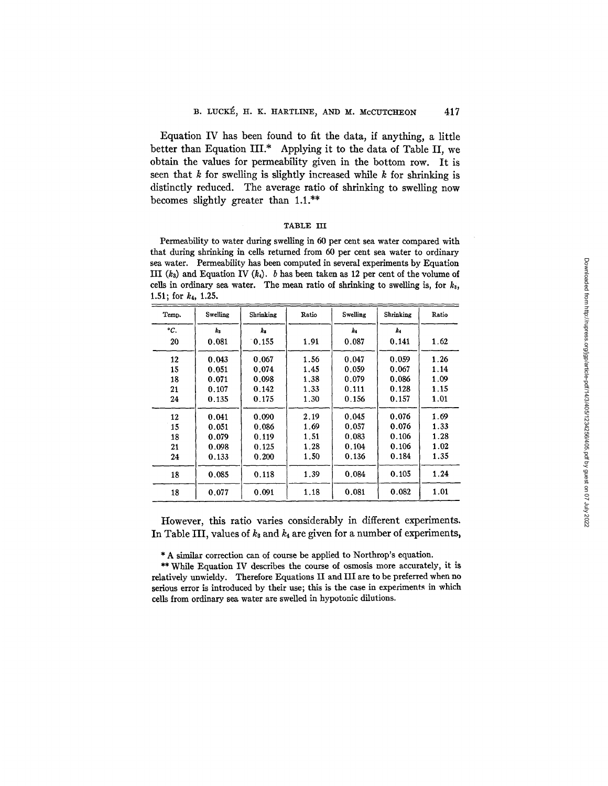Equation IV has been found to fit the data, if anything, a little better than Equation III.\* Applying it to the data of Table II, we obtain the values for permeability given in the bottom row. It is seen that  $k$  for swelling is slightly increased while  $k$  for shrinking is distinctly reduced. The average ratio of shrinking to swelling now becomes slightly greater than 1.1.\*\*

#### TABLE Ill

Permeability to water during swelling in 60 per cent sea water compared with that during shrinking in cells returned from 60 per cent sea water to ordinary sea water. Permeability has been computed in several experiments by Equation III ( $k_3$ ) and Equation IV ( $k_4$ ). *b* has been taken as 12 per cent of the volume of cells in ordinary sea water. The mean ratio of shrinking to swelling is, for  $k_3$ , 1.51; for k4, 1.25.

| Temp. | Swelling | Shrinking       | Ratio | Swelling | Shrinking | Ratio |
|-------|----------|-----------------|-------|----------|-----------|-------|
| ۰c.   | $k_3$    | k,              |       | k.       | k.        |       |
| 20    | 0.081    | $\degree$ 0.155 | 1.91  | 0.087    | 0.141     | 1.62  |
| 12    | 0.043    | 0.067           | 1.56  | 0.047    | 0.059     | 1.26  |
| 15    | 0.051    | 0.074           | 1.45  | 0.059    | 0.067     | 1.14  |
| 18    | 0.071    | 0.098           | 1.38  | 0.079    | 0.086     | 1.09  |
| 21    | 0.107    | 0.142           | 1.33  | 0.111    | 0.128     | 1.15  |
| 24    | 0.135    | 0.175           | 1.30  | 0.156    | 0.157     | 1.01  |
| 12    | 0.041    | 0.090           | 2.19  | 0.045    | 0.076     | 1.69  |
| 15    | 0.051    | 0.086           | 1.69  | 0.057    | 0.076     | 1.33  |
| 18    | 0.079    | 0.119           | 1.51  | 0.083    | 0.106     | 1.28  |
| 21    | 0.098    | 0.125           | 1.28  | 0.104    | 0.106     | 1.02  |
| 24    | 0.133    | 0.200           | 1.50  | 0.136    | 0.184     | 1.35  |
| 18    | 0.085    | 0.118           | 1.39  | 0.084    | 0.105     | 1.24  |
| 18    | 0.077    | 0.091           | 1.18  | 0.081    | 0.082     | 1.01  |

However, this ratio varies considerably in different experiments. In Table III, values of  $k_3$  and  $k_4$  are given for a number of experiments,

\* A similar correction can of course be applied to Northrop's equation.

\*\* While Equation IV describes the course of osmosis more accurately, it is relatively unwieldy. Therefore Equations II and III are to be preferred when no serious error is introduced by their use; this is the case in experiments in which cells from ordinary sea water are swelled in hypotonic dilutions.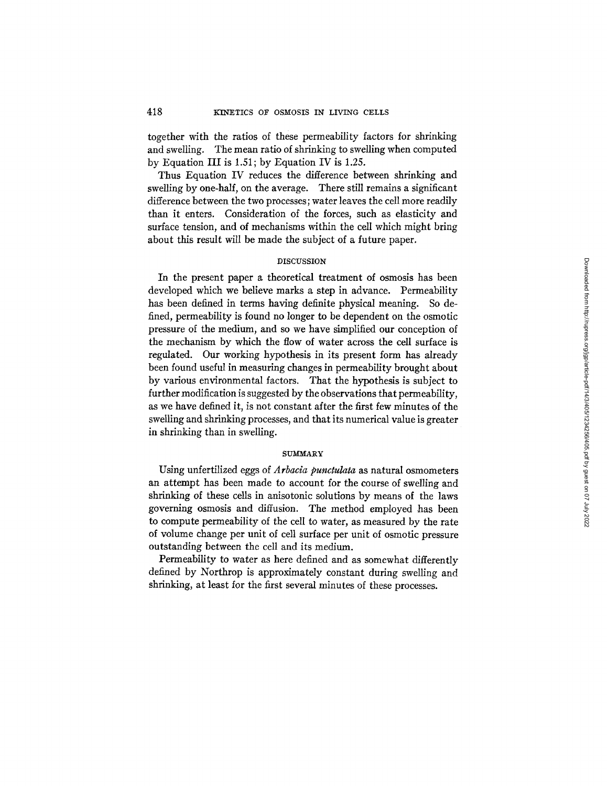together with the ratios of these permeability factors for shrinking and swelling. The mean ratio of shrinking to swelling when computed by Equation III is 1.51; by Equation IV is 1.25.

Thus Equation IV reduces the difference between shrinking and swelling by one-half, on the average. There still remains a significant difference between the two processes; water leaves the cell more readily than it enters. Consideration of the forces, such as elasticity and surface tension, and of mechanisms within the cell which might bring about this result will be made the subject of a future paper.

## DISCUSSION

In the present paper a theoretical treatment of osmosis has been developed which we believe marks a step in advance. Permeability has been defined in terms having definite physical meaning. So defined, permeability is found no longer to be dependent on the osmotic pressure of the medium, and so we have simplified our conception of the mechanism by which the flow of water across the cell surface is regulated. Our working hypothesis in its present form has already been found useful in measuring changes in permeability brought about by various environmental factors. That the hypothesis is subject to further modification is suggested by the observations that permeability, as we have defined it, is not constant after the first few minutes of the swelling and shrinking processes, and that its numerical value is greater in shrinking than in swelling.

### **SUMMARY**

Using unfertilized eggs of *Arbacia punctulata* as natural osmometers an attempt has been made to account for the course of swelling and shrinking of these cells in anisotonic solutions by means of the laws governing osmosis and diffusion. The method employed has been to compute permeability of the cell to water, as measured by the rate of volume change per unit of cell surface per unit of osmotic pressure outstanding between the cell and its medium.

Permeability to water as here defined and as somewhat differently defined by Northrop is approximately constant during swelling and shrinking, at least for the first several minutes of these processes.